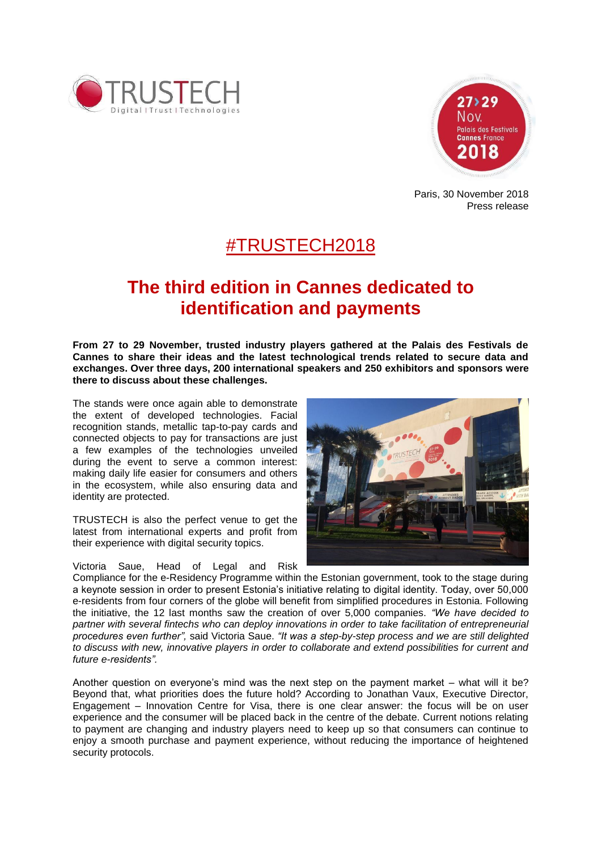



Paris, 30 November 2018 Press release

# #TRUSTECH2018

# **The third edition in Cannes dedicated to identification and payments**

**From 27 to 29 November, trusted industry players gathered at the Palais des Festivals de Cannes to share their ideas and the latest technological trends related to secure data and exchanges. Over three days, 200 international speakers and 250 exhibitors and sponsors were there to discuss about these challenges.**

The stands were once again able to demonstrate the extent of developed technologies. Facial recognition stands, metallic tap-to-pay cards and connected objects to pay for transactions are just a few examples of the technologies unveiled during the event to serve a common interest: making daily life easier for consumers and others in the ecosystem, while also ensuring data and identity are protected.

TRUSTECH is also the perfect venue to get the latest from international experts and profit from their experience with digital security topics.

Victoria Saue, Head of Legal and Risk



Compliance for the e-Residency Programme within the Estonian government, took to the stage during a keynote session in order to present Estonia's initiative relating to digital identity. Today, over 50,000 e-residents from four corners of the globe will benefit from simplified procedures in Estonia. Following the initiative, the 12 last months saw the creation of over 5,000 companies. *"We have decided to partner with several fintechs who can deploy innovations in order to take facilitation of entrepreneurial procedures even further",* said Victoria Saue. *"It was a step-by-step process and we are still delighted to discuss with new, innovative players in order to collaborate and extend possibilities for current and future e-residents".*

Another question on everyone's mind was the next step on the payment market – what will it be? Beyond that, what priorities does the future hold? According to Jonathan Vaux, Executive Director, Engagement – Innovation Centre for Visa, there is one clear answer: the focus will be on user experience and the consumer will be placed back in the centre of the debate. Current notions relating to payment are changing and industry players need to keep up so that consumers can continue to enjoy a smooth purchase and payment experience, without reducing the importance of heightened security protocols.